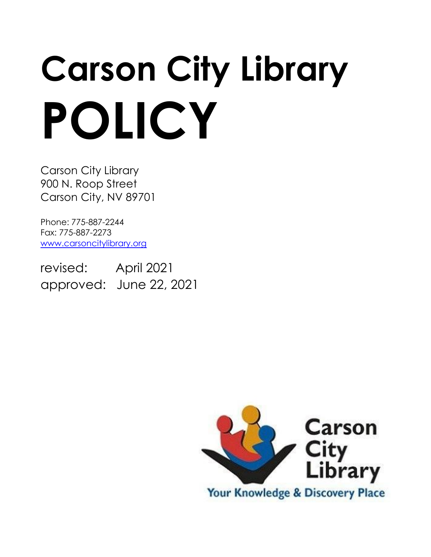# **Carson City Library POLICY**

Carson City Library 900 N. Roop Street Carson City, NV 89701

Phone: 775-887-2244 Fax: 775-887-2273 [www.carsoncitylibrary.org](http://www.carsoncitylibrary.org/)

revised: April 2021 approved: June 22, 2021

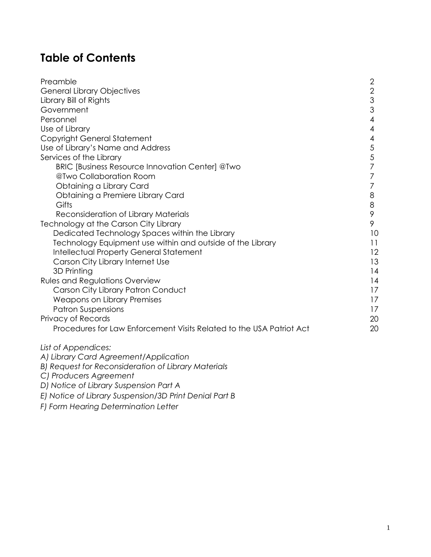# **Table of Contents**

| Preamble                                                             | $\mathbf{2}$ |
|----------------------------------------------------------------------|--------------|
| <b>General Library Objectives</b>                                    | $\mathbf{2}$ |
| Library Bill of Rights                                               | 3            |
| Government                                                           | 3            |
| Personnel                                                            | 4            |
| Use of Library                                                       | 4            |
| Copyright General Statement                                          | 4            |
| Use of Library's Name and Address                                    | $\sqrt{5}$   |
| Services of the Library                                              | 5            |
| BRIC [Business Resource Innovation Center] @Two                      | 7            |
| @Two Collaboration Room                                              | 7            |
| Obtaining a Library Card                                             | 7            |
| Obtaining a Premiere Library Card                                    | 8            |
| Gifts                                                                | $\,8\,$      |
| Reconsideration of Library Materials                                 | 9            |
| Technology at the Carson City Library                                | 9            |
| Dedicated Technology Spaces within the Library                       | 10           |
| Technology Equipment use within and outside of the Library           | 11           |
| <b>Intellectual Property General Statement</b>                       | 12           |
| Carson City Library Internet Use                                     | 13           |
| 3D Printing                                                          | 14           |
| <b>Rules and Regulations Overview</b>                                | 14           |
| Carson City Library Patron Conduct                                   | 17           |
| <b>Weapons on Library Premises</b>                                   | 17           |
| <b>Patron Suspensions</b>                                            | 17           |
| Privacy of Records                                                   | 20           |
| Procedures for Law Enforcement Visits Related to the USA Patriot Act | 20           |
| List of Appendices:                                                  |              |
| A) Library Card Agreement/Application                                |              |
| B) Request for Reconsideration of Library Materials                  |              |

*C) Producers Agreement*

*D) Notice of Library Suspension Part A*

*E) Notice of Library Suspension/3D Print Denial Part B*

*F) Form Hearing Determination Letter*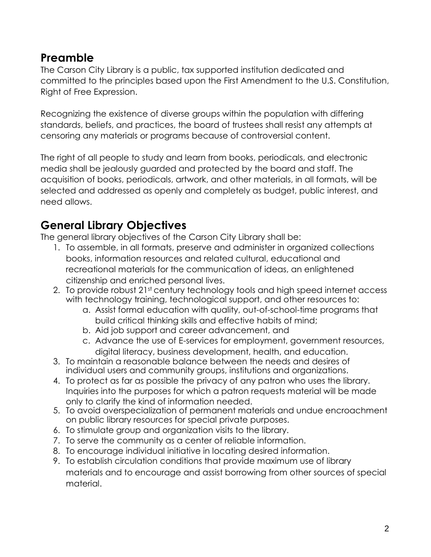## **Preamble**

The Carson City Library is a public, tax supported institution dedicated and committed to the principles based upon the First Amendment to the U.S. Constitution, Right of Free Expression.

Recognizing the existence of diverse groups within the population with differing standards, beliefs, and practices, the board of trustees shall resist any attempts at censoring any materials or programs because of controversial content.

The right of all people to study and learn from books, periodicals, and electronic media shall be jealously guarded and protected by the board and staff. The acquisition of books, periodicals, artwork, and other materials, in all formats, will be selected and addressed as openly and completely as budget, public interest, and need allows.

# **General Library Objectives**

The general library objectives of the Carson City Library shall be:

- 1. To assemble, in all formats, preserve and administer in organized collections books, information resources and related cultural, educational and recreational materials for the communication of ideas, an enlightened citizenship and enriched personal lives.
- 2. To provide robust 21st century technology tools and high speed internet access with technology training, technological support, and other resources to:
	- a. Assist formal education with quality, out-of-school-time programs that build critical thinking skills and effective habits of mind;
	- b. Aid job support and career advancement, and
	- c. Advance the use of E-services for employment, government resources, digital literacy, business development, health, and education.
- 3. To maintain a reasonable balance between the needs and desires of individual users and community groups, institutions and organizations.
- 4. To protect as far as possible the privacy of any patron who uses the library. Inquiries into the purposes for which a patron requests material will be made only to clarify the kind of information needed.
- 5. To avoid overspecialization of permanent materials and undue encroachment on public library resources for special private purposes.
- 6. To stimulate group and organization visits to the library.
- 7. To serve the community as a center of reliable information.
- 8. To encourage individual initiative in locating desired information.
- 9. To establish circulation conditions that provide maximum use of library materials and to encourage and assist borrowing from other sources of special material.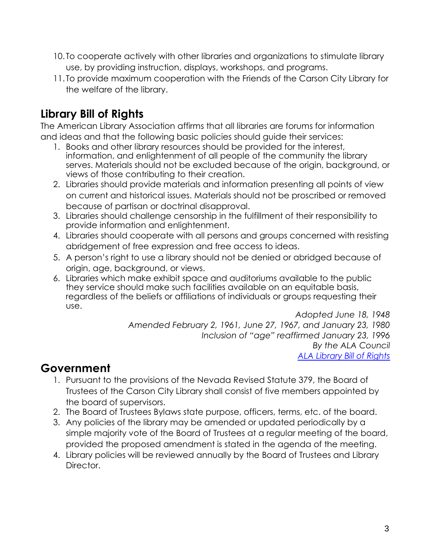- 10. To cooperate actively with other libraries and organizations to stimulate library use, by providing instruction, displays, workshops, and programs.
- 11. To provide maximum cooperation with the Friends of the Carson City Library for the welfare of the library.

# **Library Bill of Rights**

The American Library Association affirms that all libraries are forums for information and ideas and that the following basic policies should guide their services:

- 1. Books and other library resources should be provided for the interest, information, and enlightenment of all people of the community the library serves. Materials should not be excluded because of the origin, background, or views of those contributing to their creation.
- 2. Libraries should provide materials and information presenting all points of view on current and historical issues. Materials should not be proscribed or removed because of partisan or doctrinal disapproval.
- 3. Libraries should challenge censorship in the fulfillment of their responsibility to provide information and enlightenment.
- 4. Libraries should cooperate with all persons and groups concerned with resisting abridgement of free expression and free access to ideas.
- 5. A person's right to use a library should not be denied or abridged because of origin, age, background, or views.
- 6. Libraries which make exhibit space and auditoriums available to the public they service should make such facilities available on an equitable basis, regardless of the beliefs or affiliations of individuals or groups requesting their use.

*Adopted June 18, 1948 Amended February 2, 1961, June 27, 1967, and January 23, 1980 Inclusion of "age" reaffirmed January 23, 1996 By the ALA Council [ALA Library Bill of Rights](http://www.ala.org/advocacy/intfreedom/librarybill)*

# **Government**

- 1. Pursuant to the provisions of the Nevada Revised Statute 379, the Board of Trustees of the Carson City Library shall consist of five members appointed by the board of supervisors.
- 2. The Board of Trustees Bylaws state purpose, officers, terms, etc. of the board.
- 3. Any policies of the library may be amended or updated periodically by a simple majority vote of the Board of Trustees at a regular meeting of the board, provided the proposed amendment is stated in the agenda of the meeting.
- 4. Library policies will be reviewed annually by the Board of Trustees and Library Director.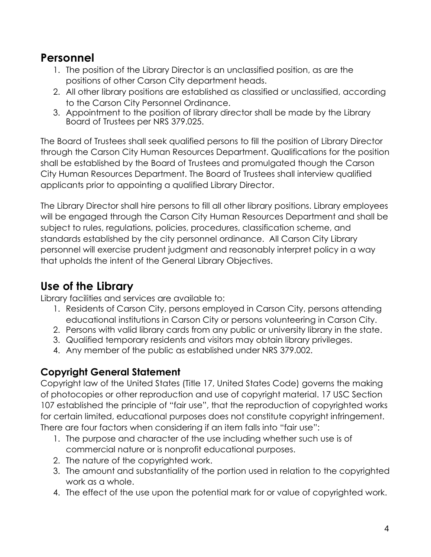## **Personnel**

- 1. The position of the Library Director is an unclassified position, as are the positions of other Carson City department heads.
- 2. All other library positions are established as classified or unclassified, according to the Carson City Personnel Ordinance.
- 3. Appointment to the position of library director shall be made by the Library Board of Trustees per NRS 379.025.

The Board of Trustees shall seek qualified persons to fill the position of Library Director through the Carson City Human Resources Department. Qualifications for the position shall be established by the Board of Trustees and promulgated though the Carson City Human Resources Department. The Board of Trustees shall interview qualified applicants prior to appointing a qualified Library Director.

The Library Director shall hire persons to fill all other library positions. Library employees will be engaged through the Carson City Human Resources Department and shall be subject to rules, regulations, policies, procedures, classification scheme, and standards established by the city personnel ordinance. All Carson City Library personnel will exercise prudent judgment and reasonably interpret policy in a way that upholds the intent of the General Library Objectives.

# **Use of the Library**

Library facilities and services are available to:

- 1. Residents of Carson City, persons employed in Carson City, persons attending educational institutions in Carson City or persons volunteering in Carson City.
- 2. Persons with valid library cards from any public or university library in the state.
- 3. Qualified temporary residents and visitors may obtain library privileges.
- 4. Any member of the public as established under NRS 379.002.

## **Copyright General Statement**

Copyright law of the United States (Title 17, United States Code) governs the making of photocopies or other reproduction and use of copyright material. 17 USC Section 107 established the principle of "fair use", that the reproduction of copyrighted works for certain limited, educational purposes does not constitute copyright infringement. There are four factors when considering if an item falls into "fair use":

- 1. The purpose and character of the use including whether such use is of commercial nature or is nonprofit educational purposes.
- 2. The nature of the copyrighted work.
- 3. The amount and substantiality of the portion used in relation to the copyrighted work as a whole.
- 4. The effect of the use upon the potential mark for or value of copyrighted work.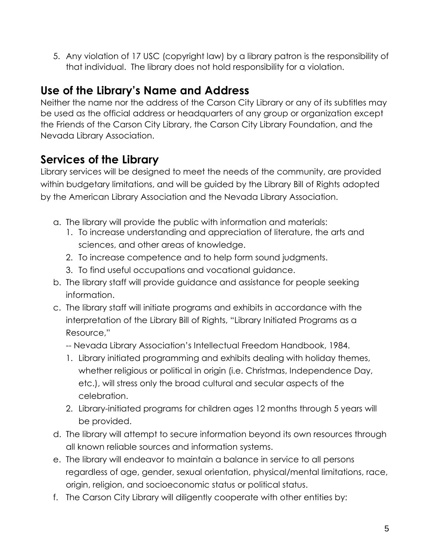5. Any violation of 17 USC (copyright law) by a library patron is the responsibility of that individual. The library does not hold responsibility for a violation.

## **Use of the Library's Name and Address**

Neither the name nor the address of the Carson City Library or any of its subtitles may be used as the official address or headquarters of any group or organization except the Friends of the Carson City Library, the Carson City Library Foundation, and the Nevada Library Association.

# **Services of the Library**

Library services will be designed to meet the needs of the community, are provided within budgetary limitations, and will be guided by the Library Bill of Rights adopted by the American Library Association and the Nevada Library Association.

- a. The library will provide the public with information and materials:
	- 1. To increase understanding and appreciation of literature, the arts and sciences, and other areas of knowledge.
	- 2. To increase competence and to help form sound judgments.
	- 3. To find useful occupations and vocational guidance.
- b. The library staff will provide guidance and assistance for people seeking information.
- c. The library staff will initiate programs and exhibits in accordance with the interpretation of the Library Bill of Rights, "Library Initiated Programs as a Resource,"
	- -- Nevada Library Association's Intellectual Freedom Handbook, 1984.
	- 1. Library initiated programming and exhibits dealing with holiday themes, whether religious or political in origin (i.e. Christmas, Independence Day, etc.), will stress only the broad cultural and secular aspects of the celebration.
	- 2. Library-initiated programs for children ages 12 months through 5 years will be provided.
- d. The library will attempt to secure information beyond its own resources through all known reliable sources and information systems.
- e. The library will endeavor to maintain a balance in service to all persons regardless of age, gender, sexual orientation, physical/mental limitations, race, origin, religion, and socioeconomic status or political status.
- f. The Carson City Library will diligently cooperate with other entities by: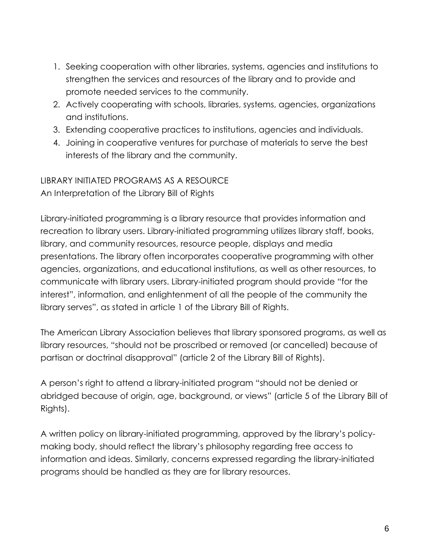- 1. Seeking cooperation with other libraries, systems, agencies and institutions to strengthen the services and resources of the library and to provide and promote needed services to the community.
- 2. Actively cooperating with schools, libraries, systems, agencies, organizations and institutions.
- 3. Extending cooperative practices to institutions, agencies and individuals.
- 4. Joining in cooperative ventures for purchase of materials to serve the best interests of the library and the community.

# LIBRARY INITIATED PROGRAMS AS A RESOURCE

An Interpretation of the Library Bill of Rights

Library-initiated programming is a library resource that provides information and recreation to library users. Library-initiated programming utilizes library staff, books, library, and community resources, resource people, displays and media presentations. The library often incorporates cooperative programming with other agencies, organizations, and educational institutions, as well as other resources, to communicate with library users. Library-initiated program should provide "for the interest", information, and enlightenment of all the people of the community the library serves", as stated in article 1 of the Library Bill of Rights.

The American Library Association believes that library sponsored programs, as well as library resources, "should not be proscribed or removed (or cancelled) because of partisan or doctrinal disapproval" (article 2 of the Library Bill of Rights).

A person's right to attend a library-initiated program "should not be denied or abridged because of origin, age, background, or views" (article 5 of the Library Bill of Rights).

A written policy on library-initiated programming, approved by the library's policymaking body, should reflect the library's philosophy regarding free access to information and ideas. Similarly, concerns expressed regarding the library-initiated programs should be handled as they are for library resources.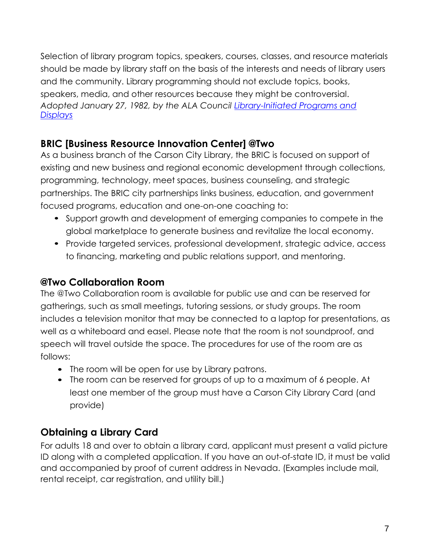Selection of library program topics, speakers, courses, classes, and resource materials should be made by library staff on the basis of the interests and needs of library users and the community. Library programming should not exclude topics, books, speakers, media, and other resources because they might be controversial. *Adopted January 27, 1982, by the ALA Council [Library-Initiated Programs and](http://www.ala.org/advocacy/intfreedom/librarybill/interpretations/programsdisplays)  [Displays](http://www.ala.org/advocacy/intfreedom/librarybill/interpretations/programsdisplays)*

## **[BRIC \[Business Resource Innovation Center\] @Two](mailto:@Two)**

As a business branch of the Carson City Library, the BRIC is focused on support of existing and new business and regional economic development through collections, programming, technology, meet spaces, business counseling, and strategic partnerships. The BRIC city partnerships links business, education, and government focused programs, education and one-on-one coaching to:

- Support growth and development of emerging companies to compete in the global marketplace to generate business and revitalize the local economy.
- Provide targeted services, professional development, strategic advice, access to financing, marketing and public relations support, and mentoring.

## **[@Two Collaboration Room](mailto:@Two)**

[The @Two Collaboration room is available for public use and can be reserved for](mailto:@Two)  [gatherings, such as small meetings, tutoring sessions, or study groups.](mailto:@Two) The room [includes a television monitor that may be connected to a laptop for presentations, as](mailto:@Two)  well as a whiteboard and easel. [Please note that the room is not soundproof, and](mailto:@Two)  speech will travel outside the space. [The procedures for use of the room are as](mailto:@Two)  [follows:](mailto:@Two)

- The room will be open for use by Library patrons.
- The room can be reserved for groups of up to a maximum of 6 people. At least one member of the group must have a Carson City Library Card (and provide)

## **Obtaining a Library Card**

For adults 18 and over to obtain a library card, applicant must present a valid picture ID along with a completed application. If you have an out-of-state ID, it must be valid and accompanied by proof of current address in Nevada. (Examples include mail, rental receipt, car registration, and utility bill.)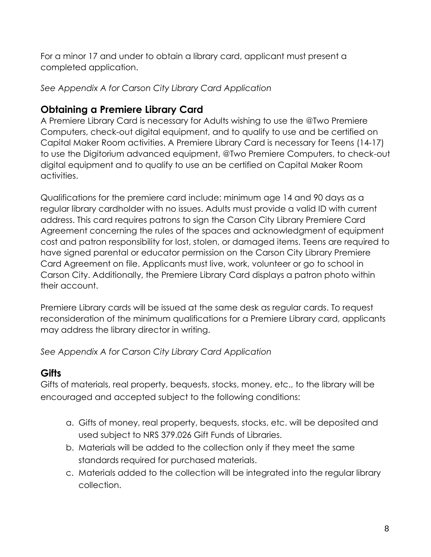For a minor 17 and under to obtain a library card, applicant must present a completed application.

*See Appendix A for Carson City Library Card Application*

## **Obtaining a Premiere Library Card**

A Premiere Library Card is necessary for Adults wishing to use the @Two Premiere Computers, check-out digital equipment, and to qualify to use and be certified on Capital Maker Room activities. A Premiere Library Card is necessary for Teens (14-17[\)](mailto:@Two) [to use the Digitorium advanced equipment, @Two Premiere Computers, to check-out](mailto:@Two)  [digital equipment and to qualify to use an be certified on Capital Maker Room](mailto:@Two)  [activities.](mailto:@Two)

Qualifications for the premiere card include: minimum age 14 and 90 days as a regular library cardholder with no issues. Adults must provide a valid ID with current address. This card requires patrons to sign the Carson City Library Premiere Card Agreement concerning the rules of the spaces and acknowledgment of equipment cost and patron responsibility for lost, stolen, or damaged items. Teens are required to have signed parental or educator permission on the Carson City Library Premiere Card Agreement on file. Applicants must live, work, volunteer or go to school in Carson City. Additionally, the Premiere Library Card displays a patron photo within their account.

Premiere Library cards will be issued at the same desk as regular cards. To request reconsideration of the minimum qualifications for a Premiere Library card, applicants may address the library director in writing.

*See Appendix A for Carson City Library Card Application*

#### **Gifts**

Gifts of materials, real property, bequests, stocks, money, etc., to the library will be encouraged and accepted subject to the following conditions:

- a. Gifts of money, real property, bequests, stocks, etc. will be deposited and used subject to NRS 379.026 Gift Funds of Libraries.
- b. Materials will be added to the collection only if they meet the same standards required for purchased materials.
- c. Materials added to the collection will be integrated into the regular library collection.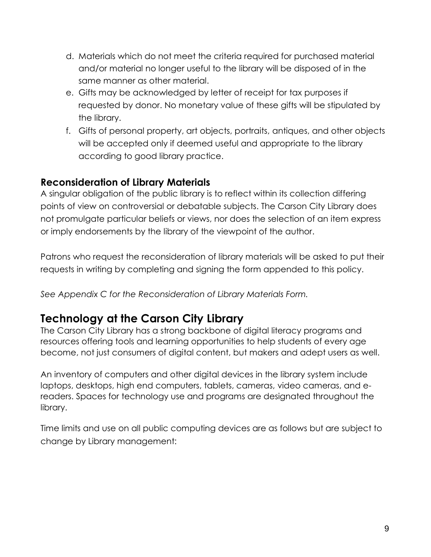- d. Materials which do not meet the criteria required for purchased material and/or material no longer useful to the library will be disposed of in the same manner as other material.
- e. Gifts may be acknowledged by letter of receipt for tax purposes if requested by donor. No monetary value of these gifts will be stipulated by the library.
- f. Gifts of personal property, art objects, portraits, antiques, and other objects will be accepted only if deemed useful and appropriate to the library according to good library practice.

#### **Reconsideration of Library Materials**

A singular obligation of the public library is to reflect within its collection differing points of view on controversial or debatable subjects. The Carson City Library does not promulgate particular beliefs or views, nor does the selection of an item express or imply endorsements by the library of the viewpoint of the author.

Patrons who request the reconsideration of library materials will be asked to put their requests in writing by completing and signing the form appended to this policy.

*See Appendix C for the Reconsideration of Library Materials Form.*

# **Technology at the Carson City Library**

The Carson City Library has a strong backbone of digital literacy programs and resources offering tools and learning opportunities to help students of every age become, not just consumers of digital content, but makers and adept users as well.

An inventory of computers and other digital devices in the library system include laptops, desktops, high end computers, tablets, cameras, video cameras, and ereaders. Spaces for technology use and programs are designated throughout the library.

Time limits and use on all public computing devices are as follows but are subject to change by Library management: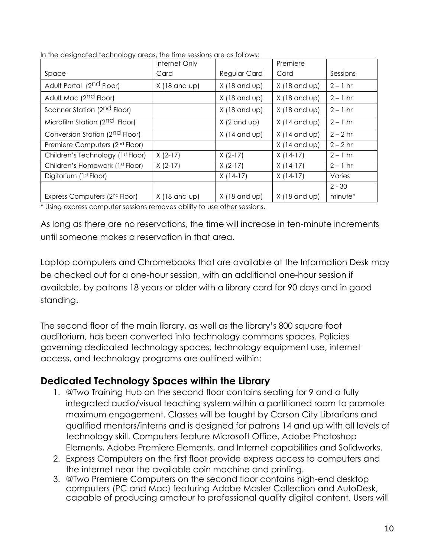|                                            | Internet Only                  |                                | Premiere                       |            |
|--------------------------------------------|--------------------------------|--------------------------------|--------------------------------|------------|
| Space                                      | Card                           | Regular Card                   | Card                           | Sessions   |
| Adult Portal (2 <sup>nd</sup> Floor)       | $X(18 \text{ and } \text{up})$ | $X(18 \text{ and } \text{up})$ | $X(18 \text{ and } \text{up})$ | $2 - 1$ hr |
| Adult Mac (2 <sup>nd</sup> Floor)          |                                | $X(18 \text{ and } \text{up})$ | $X(18 \text{ and } \text{up})$ | $2 - 1$ hr |
| Scanner Station (2 <sup>nd</sup> Floor)    |                                | $X(18 \text{ and } \text{up})$ | $X(18 \text{ and } \text{up})$ | $2 - 1$ hr |
| Microfilm Station (2 <sup>nd</sup> Floor)  |                                | $X(2 \text{ and } \text{up})$  | $X$ (14 and up)                | $2 - 1$ hr |
| Conversion Station (2 <sup>nd</sup> Floor) |                                | $X(14 \text{ and } \text{up})$ | $X(14 \text{ and } \text{up})$ | $2 - 2$ hr |
| Premiere Computers (2 <sup>nd</sup> Floor) |                                |                                | $X$ (14 and $up$ )             | $2 - 2$ hr |
| Children's Technology (1st Floor)          | $X (2-17)$                     | $X (2-17)$                     | $X(14-17)$                     | $2 - 1$ hr |
| Children's Homework (1st Floor)            | $X (2-17)$                     | $X (2-17)$                     | $X(14-17)$                     | $2 - 1$ hr |
| Digitorium (1st Floor)                     |                                | $X(14-17)$                     | $X(14-17)$                     | Varies     |
|                                            |                                |                                |                                | $2 - 30$   |
| Express Computers (2nd Floor)              | $X(18 \text{ and } \text{up})$ | $X(18 \text{ and } \text{up})$ | $X(18 \text{ and } \text{up})$ | minute*    |

In the designated technology areas, the time sessions are as follows:

\* Using express computer sessions removes ability to use other sessions.

As long as there are no reservations, the time will increase in ten-minute increments until someone makes a reservation in that area.

Laptop computers and Chromebooks that are available at the Information Desk may be checked out for a one-hour session, with an additional one-hour session if available, by patrons 18 years or older with a library card for 90 days and in good standing.

The second floor of the main library, as well as the library's 800 square foot auditorium, has been converted into technology commons spaces. Policies governing dedicated technology spaces, technology equipment use, internet access, and technology programs are outlined within:

#### **Dedicated Technology Spaces within the Library**

- 1. [@Two Training Hub on the second floor contains seating for 9 and a fully](mailto:@Two) [integrated audio/visual teaching system within a partitioned room](mailto:@Two) to promote maximum engagement. [Classes will be taught by Carson City Librarians and](mailto:@Two) [qualified mentors/interns and is designed for patrons 14 and up with all levels of](mailto:@Two) technology skill. Computers feature Microsoft Office, Adobe Photoshop Elements, Adobe Premiere Elements, and Internet capabilities and Solidworks.
- 2. Express Computers on the first floor provide express access to computers and the internet near the available coin machine and printing.
- 3. [@Two Premiere Computers on the second floor contains high-end desktop](mailto:@Two) computers (PC and Mac) featuring Adobe Master Collection and AutoDesk, capable of producing amateur to professional quality digital content. Users will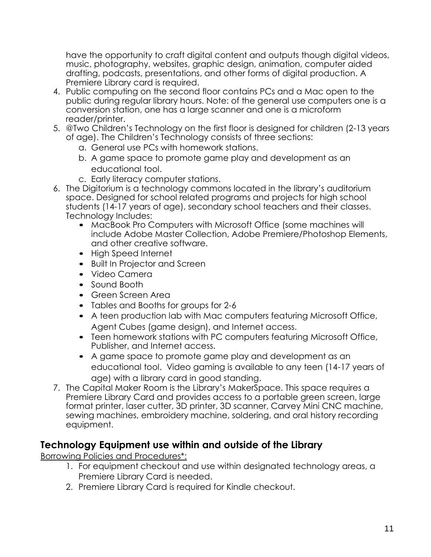have the opportunity to craft digital content and outputs though digital videos, music, photography, websites, graphic design, animation, computer aided drafting, podcasts, presentations, and other forms of digital production. A Premiere Library card is required.

- 4. Public computing on the second floor contains PCs and a Mac open to the public during regular library hours. Note: of the general use computers one is a conversion station, one has a large scanner and one is a microform reader/printer.
- 5. [@Two Children's Technology on the first floor is designed for children \(2](mailto:@Two)-13 years of age). The Children's Technology consists of three sections:
	- a. General use PCs with homework stations.
	- b. A game space to promote game play and development as an educational tool.
	- c. Early literacy computer stations.
- 6. The Digitorium is a technology commons located in the library's auditorium space. Designed for school related programs and projects for high school students (14-17 years of age), secondary school teachers and their classes. Technology Includes:
	- MacBook Pro Computers with Microsoft Office (some machines will include Adobe Master Collection, Adobe Premiere/Photoshop Elements, and other creative software.
	- High Speed Internet
	- Built In Projector and Screen
	- Video Camera
	- Sound Booth
	- Green Screen Area
	- Tables and Booths for groups for 2-6
	- A teen production lab with Mac computers featuring Microsoft Office, Agent Cubes (game design), and Internet access.
	- Teen homework stations with PC computers featuring Microsoft Office, Publisher, and Internet access.
	- A game space to promote game play and development as an educational tool. Video gaming is available to any teen (14-17 years of age) with a library card in good standing.
- 7. The Capital Maker Room is the Library's MakerSpace. This space requires a Premiere Library Card and provides access to a portable green screen, large format printer, laser cutter, 3D printer, 3D scanner, Carvey Mini CNC machine, sewing machines, embroidery machine, soldering, and oral history recording equipment.

#### **Technology Equipment use within and outside of the Library**

Borrowing Policies and Procedures\*:

- 1. For equipment checkout and use within designated technology areas, a Premiere Library Card is needed.
- 2. Premiere Library Card is required for Kindle checkout.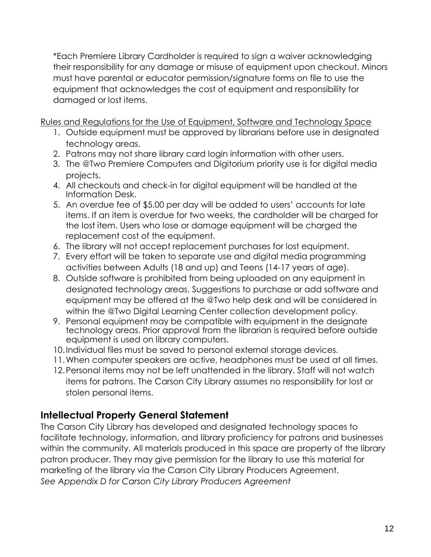\*Each Premiere Library Cardholder is required to sign a waiver acknowledging their responsibility for any damage or misuse of equipment upon checkout. Minors must have parental or educator permission/signature forms on file to use the equipment that acknowledges the cost of equipment and responsibility for damaged or lost items.

Rules and Regulations for the Use of Equipment, Software and Technology Space

- 1. Outside equipment must be approved by librarians before use in designated technology areas.
- 2. Patrons may not share library card login information with other users.
- 3. [The @Two Premiere Computers and Digitorium priority use is for digital media](mailto:@Two) [projects.](mailto:@Two)
- 4. All checkouts and check-in for digital equipment will be handled at the Information Desk.
- 5. An overdue fee of \$5.00 per day will be added to users' accounts for late items. If an item is overdue for two weeks, the cardholder will be charged for the lost item. Users who lose or damage equipment will be charged the replacement cost of the equipment.
- 6. The library will not accept replacement purchases for lost equipment.
- 7. Every effort will be taken to separate use and digital media programming activities between Adults (18 and up) and Teens (14-17 years of age).
- 8. Outside software is prohibited from being uploaded on any equipment in designated technology areas. Suggestions to purchase or add software an[d](mailto:@Two) [equipment may be offered at the @Two help](mailto:@Two) desk and will be considered i[n](mailto:@Two) [within the @Two Digital Learning Center collection development policy.](mailto:@Two)
- 9. Personal equipment may be compatible with equipment in the designate technology areas. Prior approval from the librarian is required before outside equipment is used on library computers.
- 10.Individual files must be saved to personal external storage devices.
- 11.When computer speakers are active, headphones must be used at all times.
- 12.Personal items may not be left unattended in the library. Staff will not watch items for patrons. The Carson City Library assumes no responsibility for lost or stolen personal items.

## **Intellectual Property General Statement**

The Carson City Library has developed and designated technology spaces to facilitate technology, information, and library proficiency for patrons and businesses within the community. All materials produced in this space are property of the library patron producer. They may give permission for the library to use this material for marketing of the library via the Carson City Library Producers Agreement. *See Appendix D for Carson City Library Producers Agreement*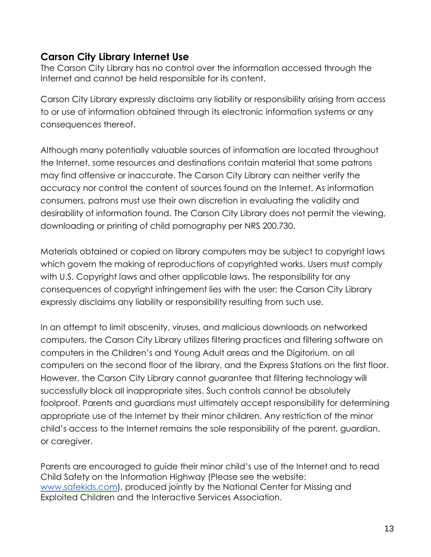#### **Carson City Library Internet Use**

The Carson City Library has no control over the information accessed through the Internet and cannot be held responsible for its content.

Carson City Library expressly disclaims any liability or responsibility arising from access to or use of information obtained through its electronic information systems or any consequences thereof.

Although many potentially valuable sources of information are located throughout the Internet, some resources and destinations contain material that some patrons may find offensive or inaccurate. The Carson City Library can neither verify the accuracy nor control the content of sources found on the Internet. As information consumers, patrons must use their own discretion in evaluating the validity and desirability of information found. The Carson City Library does not permit the viewing, downloading or printing of child pornography per NRS 200.730.

Materials obtained or copied on library computers may be subject to copyright laws which govern the making of reproductions of copyrighted works. Users must comply with U.S. Copyright laws and other applicable laws. The responsibility for any consequences of copyright infringement lies with the user; the Carson City Library expressly disclaims any liability or responsibility resulting from such use.

In an attempt to limit obscenity, viruses, and malicious downloads on networked computers, the Carson City Library utilizes filtering practices and filtering software on computers in the Children's and Young Adult areas and the Digitorium, on all computers on the second floor of the library, and the Express Stations on the first floor. However, the Carson City Library cannot guarantee that filtering technology will successfully block all inappropriate sites. Such controls cannot be absolutely foolproof. Parents and guardians must ultimately accept responsibility for determining appropriate use of the Internet by their minor children. Any restriction of the minor child's access to the Internet remains the sole responsibility of the parent, guardian, or caregiver.

Parents are encouraged to guide their minor child's use of the Internet and to read Child Safety on the Information Highway (Please see the website: [www.safekids.com\), produced jointly by the National Center for Missing and](http://www.safekids.com/)  [Exploited](http://www.safekids.com/) Children and the Interactive Services Association.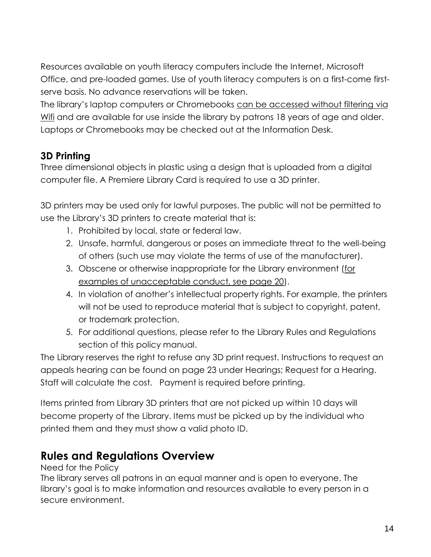Resources available on youth literacy computers include the Internet, Microsoft Office, and pre-loaded games. Use of youth literacy computers is on a first-come firstserve basis. No advance reservations will be taken.

The library's laptop computers or Chromebooks can be accessed without filtering via Wifi and are available for use inside the library by patrons 18 years of age and older. Laptops or Chromebooks may be checked out at the Information Desk.

## **3D Printing**

Three dimensional objects in plastic using a design that is uploaded from a digital computer file. A Premiere Library Card is required to use a 3D printer.

3D printers may be used only for lawful purposes. The public will not be permitted to use the Library's 3D printers to create material that is:

- 1. Prohibited by local, state or federal law.
- 2. Unsafe, harmful, dangerous or poses an immediate threat to the well-being of others (such use may violate the terms of use of the manufacturer).
- 3. Obscene or otherwise inappropriate for the Library environment (for examples of unacceptable conduct, see page 20).
- 4. In violation of another's intellectual property rights. For example, the printers will not be used to reproduce material that is subject to copyright, patent, or trademark protection.
- 5. For additional questions, please refer to the Library Rules and Regulations section of this policy manual.

The Library reserves the right to refuse any 3D print request. Instructions to request an appeals hearing can be found on page 23 under Hearings; Request for a Hearing. Staff will calculate the cost. [Payment is required before printing.](http://www.ic3dprinters.com/3d-printer-job-cost-calculator/)

Items printed from Library 3D printers that are not picked up within 10 days will become property of the Library. Items must be picked up by the individual who printed them and they must show a valid photo ID.

# **Rules and Regulations Overview**

Need for the Policy

The library serves all patrons in an equal manner and is open to everyone. The library's goal is to make information and resources available to every person in a secure environment.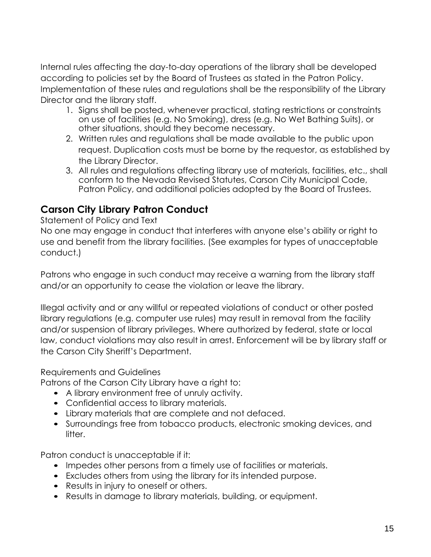Internal rules affecting the day-to-day operations of the library shall be developed according to policies set by the Board of Trustees as stated in the Patron Policy. Implementation of these rules and regulations shall be the responsibility of the Library Director and the library staff.

- 1. Signs shall be posted, whenever practical, stating restrictions or constraints on use of facilities (e.g. No Smoking), dress (e.g. No Wet Bathing Suits), or other situations, should they become necessary.
- 2. Written rules and regulations shall be made available to the public upon request. Duplication costs must be borne by the requestor, as established by the Library Director.
- 3. All rules and regulations affecting library use of materials, facilities, etc., shall conform to the Nevada Revised Statutes, Carson City Municipal Code, Patron Policy, and additional policies adopted by the Board of Trustees.

## **Carson City Library Patron Conduct**

#### Statement of Policy and Text

No one may engage in conduct that interferes with anyone else's ability or right to use and benefit from the library facilities. (See examples for types of unacceptable conduct.)

Patrons who engage in such conduct may receive a warning from the library staff and/or an opportunity to cease the violation or leave the library.

Illegal activity and or any willful or repeated violations of conduct or other posted library regulations (e.g. computer use rules) may result in removal from the facility and/or suspension of library privileges. Where authorized by federal, state or local law, conduct violations may also result in arrest. Enforcement will be by library staff or the Carson City Sheriff's Department.

#### Requirements and Guidelines

Patrons of the Carson City Library have a right to:

- A library environment free of unruly activity.
- Confidential access to library materials.
- Library materials that are complete and not defaced.
- Surroundings free from tobacco products, electronic smoking devices, and litter.

Patron conduct is unacceptable if it:

- Impedes other persons from a timely use of facilities or materials.
- Excludes others from using the library for its intended purpose.
- Results in injury to oneself or others.
- Results in damage to library materials, building, or equipment.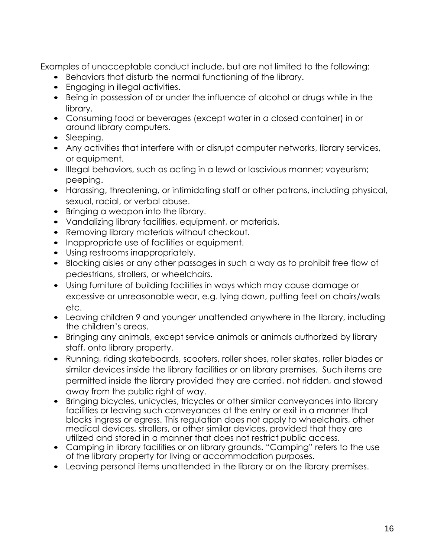Examples of unacceptable conduct include, but are not limited to the following:

- Behaviors that disturb the normal functioning of the library.
- Engaging in illegal activities.
- Being in possession of or under the influence of alcohol or drugs while in the library.
- Consuming food or beverages (except water in a closed container) in or around library computers.
- Sleeping.
- Any activities that interfere with or disrupt computer networks, library services, or equipment.
- Illegal behaviors, such as acting in a lewd or lascivious manner; voyeurism; peeping.
- Harassing, threatening, or intimidating staff or other patrons, including physical, sexual, racial, or verbal abuse.
- Bringing a weapon into the library.
- Vandalizing library facilities, equipment, or materials.
- Removing library materials without checkout.
- Inappropriate use of facilities or equipment.
- Using restrooms inappropriately.
- Blocking aisles or any other passages in such a way as to prohibit free flow of pedestrians, strollers, or wheelchairs.
- Using furniture of building facilities in ways which may cause damage or excessive or unreasonable wear, e.g. lying down, putting feet on chairs/walls etc.
- Leaving children 9 and younger unattended anywhere in the library, including the children's areas.
- Bringing any animals, except service animals or animals authorized by library staff, onto library property.
- Running, riding skateboards, scooters, roller shoes, roller skates, roller blades or similar devices inside the library facilities or on library premises. Such items are permitted inside the library provided they are carried, not ridden, and stowed away from the public right of way.
- Bringing bicycles, unicycles, tricycles or other similar conveyances into library facilities or leaving such conveyances at the entry or exit in a manner that blocks ingress or egress. This regulation does not apply to wheelchairs, other medical devices, strollers, or other similar devices, provided that they are utilized and stored in a manner that does not restrict public access.
- Camping in library facilities or on library grounds. "Camping" refers to the use of the library property for living or accommodation purposes.
- Leaving personal items unattended in the library or on the library premises.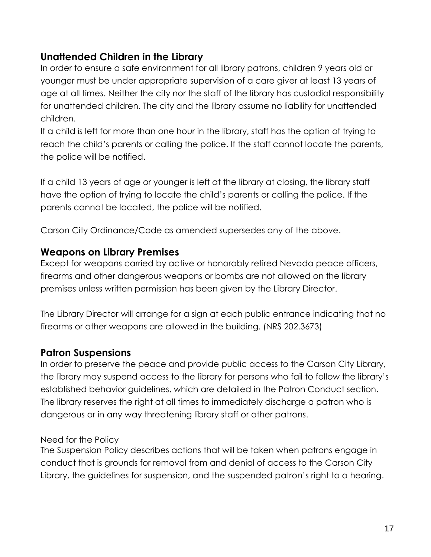### **Unattended Children in the Library**

In order to ensure a safe environment for all library patrons, children 9 years old or younger must be under appropriate supervision of a care giver at least 13 years of age at all times. Neither the city nor the staff of the library has custodial responsibility for unattended children. The city and the library assume no liability for unattended children.

If a child is left for more than one hour in the library, staff has the option of trying to reach the child's parents or calling the police. If the staff cannot locate the parents, the police will be notified.

If a child 13 years of age or younger is left at the library at closing, the library staff have the option of trying to locate the child's parents or calling the police. If the parents cannot be located, the police will be notified.

Carson City Ordinance/Code as amended supersedes any of the above.

#### **Weapons on Library Premises**

Except for weapons carried by active or honorably retired Nevada peace officers, firearms and other dangerous weapons or bombs are not allowed on the library premises unless written permission has been given by the Library Director.

The Library Director will arrange for a sign at each public entrance indicating that no firearms or other weapons are allowed in the building. (NRS 202.3673)

## **Patron Suspensions**

In order to preserve the peace and provide public access to the Carson City Library, the library may suspend access to the library for persons who fail to follow the library's established behavior guidelines, which are detailed in the Patron Conduct section. The library reserves the right at all times to immediately discharge a patron who is dangerous or in any way threatening library staff or other patrons.

#### Need for the Policy

The Suspension Policy describes actions that will be taken when patrons engage in conduct that is grounds for removal from and denial of access to the Carson City Library, the guidelines for suspension, and the suspended patron's right to a hearing.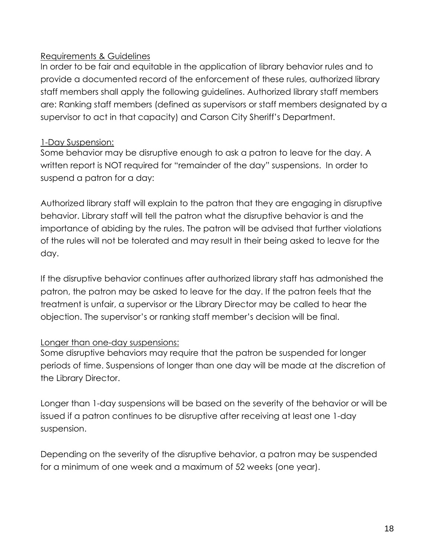#### Requirements & Guidelines

In order to be fair and equitable in the application of library behavior rules and to provide a documented record of the enforcement of these rules, authorized library staff members shall apply the following guidelines. Authorized library staff members are: Ranking staff members (defined as supervisors or staff members designated by a supervisor to act in that capacity) and Carson City Sheriff's Department.

#### 1-Day Suspension:

Some behavior may be disruptive enough to ask a patron to leave for the day. A written report is NOT required for "remainder of the day" suspensions. In order to suspend a patron for a day:

Authorized library staff will explain to the patron that they are engaging in disruptive behavior. Library staff will tell the patron what the disruptive behavior is and the importance of abiding by the rules. The patron will be advised that further violations of the rules will not be tolerated and may result in their being asked to leave for the day.

If the disruptive behavior continues after authorized library staff has admonished the patron, the patron may be asked to leave for the day. If the patron feels that the treatment is unfair, a supervisor or the Library Director may be called to hear the objection. The supervisor's or ranking staff member's decision will be final.

#### Longer than one-day suspensions:

Some disruptive behaviors may require that the patron be suspended for longer periods of time. Suspensions of longer than one day will be made at the discretion of the Library Director.

Longer than 1-day suspensions will be based on the severity of the behavior or will be issued if a patron continues to be disruptive after receiving at least one 1-day suspension.

Depending on the severity of the disruptive behavior, a patron may be suspended for a minimum of one week and a maximum of 52 weeks (one year).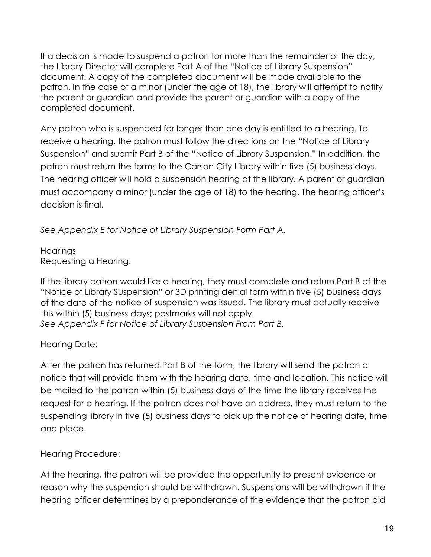If a decision is made to suspend a patron for more than the remainder of the day, the Library Director will complete Part A of the "Notice of Library Suspension" document. A copy of the completed document will be made available to the patron. In the case of a minor (under the age of 18), the library will attempt to notify the parent or guardian and provide the parent or guardian with a copy of the completed document.

Any patron who is suspended for longer than one day is entitled to a hearing. To receive a hearing, the patron must follow the directions on the "Notice of Library Suspension" and submit Part B of the "Notice of Library Suspension." In addition, the patron must return the forms to the Carson City Library within five (5) business days. The hearing officer will hold a suspension hearing at the library. A parent or guardian must accompany a minor (under the age of 18) to the hearing. The hearing officer's decision is final.

*See Appendix E for Notice of Library Suspension Form Part A.*

**Hearings** Requesting a Hearing:

If the library patron would like a hearing, they must complete and return Part B of the "Notice of Library Suspension" or 3D printing denial form within five (5) business days of the date of the notice of suspension was issued. The library must actually receive this within (5) business days; postmarks will not apply. *See Appendix F for Notice of Library Suspension From Part B.*

#### Hearing Date:

After the patron has returned Part B of the form, the library will send the patron a notice that will provide them with the hearing date, time and location. This notice will be mailed to the patron within (5) business days of the time the library receives the request for a hearing. If the patron does not have an address, they must return to the suspending library in five (5) business days to pick up the notice of hearing date, time and place.

Hearing Procedure:

At the hearing, the patron will be provided the opportunity to present evidence or reason why the suspension should be withdrawn. Suspensions will be withdrawn if the hearing officer determines by a preponderance of the evidence that the patron did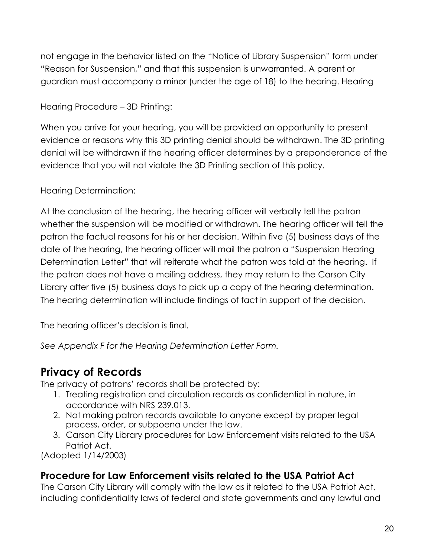not engage in the behavior listed on the "Notice of Library Suspension" form under "Reason for Suspension," and that this suspension is unwarranted. A parent or guardian must accompany a minor (under the age of 18) to the hearing. Hearing

Hearing Procedure – 3D Printing:

When you arrive for your hearing, you will be provided an opportunity to present evidence or reasons why this 3D printing denial should be withdrawn. The 3D printing denial will be withdrawn if the hearing officer determines by a preponderance of the evidence that you will not violate the 3D Printing section of this policy.

#### Hearing Determination:

At the conclusion of the hearing, the hearing officer will verbally tell the patron whether the suspension will be modified or withdrawn. The hearing officer will tell the patron the factual reasons for his or her decision. Within five (5) business days of the date of the hearing, the hearing officer will mail the patron a "Suspension Hearing Determination Letter" that will reiterate what the patron was told at the hearing. If the patron does not have a mailing address, they may return to the Carson City Library after five (5) business days to pick up a copy of the hearing determination. The hearing determination will include findings of fact in support of the decision.

The hearing officer's decision is final.

*See Appendix F for the Hearing Determination Letter Form.*

## **Privacy of Records**

The privacy of patrons' records shall be protected by:

- 1. Treating registration and circulation records as confidential in nature, in accordance with NRS 239.013.
- 2. Not making patron records available to anyone except by proper legal process, order, or subpoena under the law.
- 3. Carson City Library procedures for Law Enforcement visits related to the USA Patriot Act.

(Adopted 1/14/2003)

#### **Procedure for Law Enforcement visits related to the USA Patriot Act**

The Carson City Library will comply with the law as it related to the USA Patriot Act, including confidentiality laws of federal and state governments and any lawful and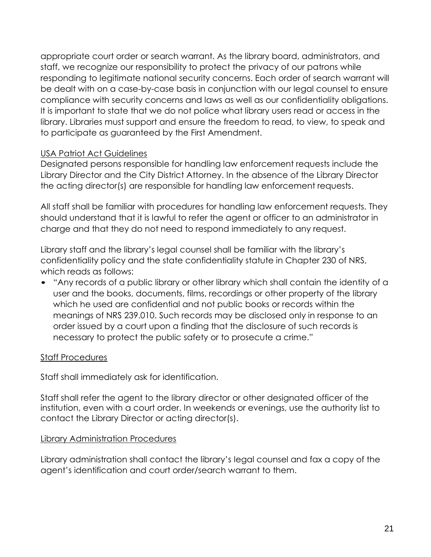appropriate court order or search warrant. As the library board, administrators, and staff, we recognize our responsibility to protect the privacy of our patrons while responding to legitimate national security concerns. Each order of search warrant will be dealt with on a case-by-case basis in conjunction with our legal counsel to ensure compliance with security concerns and laws as well as our confidentiality obligations. It is important to state that we do not police what library users read or access in the library. Libraries must support and ensure the freedom to read, to view, to speak and to participate as guaranteed by the First Amendment.

#### USA Patriot Act Guidelines

Designated persons responsible for handling law enforcement requests include the Library Director and the City District Attorney. In the absence of the Library Director the acting director(s) are responsible for handling law enforcement requests.

All staff shall be familiar with procedures for handling law enforcement requests. They should understand that it is lawful to refer the agent or officer to an administrator in charge and that they do not need to respond immediately to any request.

Library staff and the library's legal counsel shall be familiar with the library's confidentiality policy and the state confidentiality statute in Chapter 230 of NRS, which reads as follows:

• "Any records of a public library or other library which shall contain the identity of a user and the books, documents, films, recordings or other property of the library which he used are confidential and not public books or records within the meanings of NRS 239.010. Such records may be disclosed only in response to an order issued by a court upon a finding that the disclosure of such records is necessary to protect the public safety or to prosecute a crime."

#### Staff Procedures

Staff shall immediately ask for identification.

Staff shall refer the agent to the library director or other designated officer of the institution, even with a court order. In weekends or evenings, use the authority list to contact the Library Director or acting director(s).

#### Library Administration Procedures

Library administration shall contact the library's legal counsel and fax a copy of the agent's identification and court order/search warrant to them.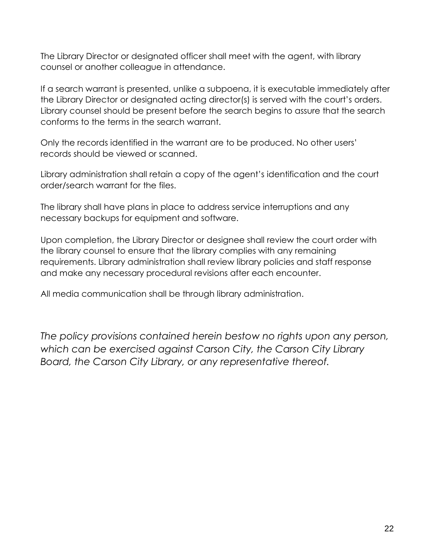The Library Director or designated officer shall meet with the agent, with library counsel or another colleague in attendance.

If a search warrant is presented, unlike a subpoena, it is executable immediately after the Library Director or designated acting director(s) is served with the court's orders. Library counsel should be present before the search begins to assure that the search conforms to the terms in the search warrant.

Only the records identified in the warrant are to be produced. No other users' records should be viewed or scanned.

Library administration shall retain a copy of the agent's identification and the court order/search warrant for the files.

The library shall have plans in place to address service interruptions and any necessary backups for equipment and software.

Upon completion, the Library Director or designee shall review the court order with the library counsel to ensure that the library complies with any remaining requirements. Library administration shall review library policies and staff response and make any necessary procedural revisions after each encounter.

All media communication shall be through library administration.

*The policy provisions contained herein bestow no rights upon any person, which can be exercised against Carson City, the Carson City Library Board, the Carson City Library, or any representative thereof.*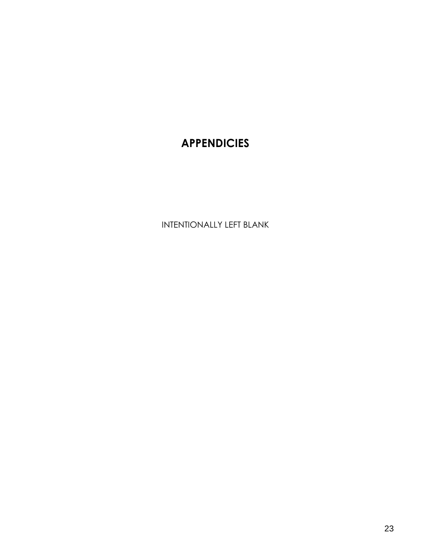# **APPENDICIES**

INTENTIONALLY LEFT BLANK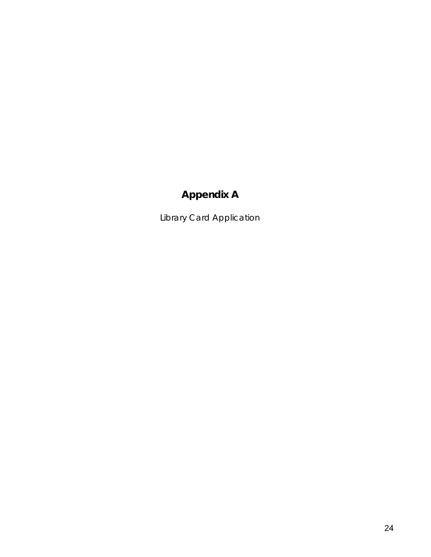# **Appendix A**

Library Card Application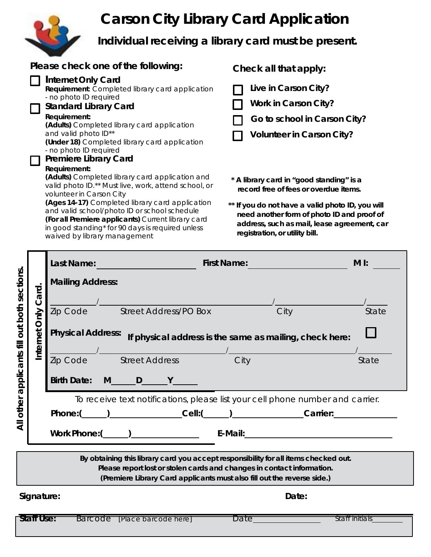# **Carson City Library Card Application**



**Individual receiving a library card must be present.**

| Please check one of the following:                                                                                                                                                                                                                                                                                                                                               | Check all that apply:                                                                                                                                                                                                                                                |
|----------------------------------------------------------------------------------------------------------------------------------------------------------------------------------------------------------------------------------------------------------------------------------------------------------------------------------------------------------------------------------|----------------------------------------------------------------------------------------------------------------------------------------------------------------------------------------------------------------------------------------------------------------------|
| Internet Only Card<br><b>Requirement:</b> Completed library card application<br>- no photo ID required<br><b>Standard Library Card</b><br>Requirement:<br>(Adults) Completed library card application<br>and valid photo ID**<br>(Under 18) Completed library card application<br>- no photo ID required<br><b>Premiere Library Card</b><br>Requirement:                         | Live in Carson City?<br><b>Work in Carson City?</b><br>Go to school in Carson City?<br><b>Volunteer in Carson City?</b>                                                                                                                                              |
| (Adults) Completed library card application and<br>valid photo ID.** Must live, work, attend school, or<br>volunteer in Carson City<br>(Ages 14-17) Completed library card application<br>and valid school/photo ID or school schedule<br>(For all Premiere applicants) Current library card<br>in good standing* for 90 days is required unless<br>waived by library management | * A library card in "good standing" is a<br>record free of fees or overdue items.<br>** If you do not have a valid photo ID, you will<br>need another form of photo ID and proof of<br>address, such as mail, lease agreement, car<br>registration, or utility bill. |

|                                   |                   | Last Name:               |                                                                                                                                                                                                                                          | <b>First Name:</b>                                      |       | $M I$ :        |
|-----------------------------------|-------------------|--------------------------|------------------------------------------------------------------------------------------------------------------------------------------------------------------------------------------------------------------------------------------|---------------------------------------------------------|-------|----------------|
|                                   |                   | <b>Mailing Address:</b>  |                                                                                                                                                                                                                                          |                                                         |       |                |
|                                   | ard.<br>ن         |                          |                                                                                                                                                                                                                                          |                                                         |       |                |
|                                   |                   |                          | Zip Code Street Address/PO Box                                                                                                                                                                                                           |                                                         | City  | State          |
|                                   | Internet Only     | <b>Physical Address:</b> |                                                                                                                                                                                                                                          | If physical address is the same as mailing, check here: |       |                |
| applicants fill out both sections |                   |                          | Zip Code Street Address                                                                                                                                                                                                                  | <b>City</b>                                             |       | State          |
|                                   |                   | <b>Birth Date:</b>       | $M$ D $Y$                                                                                                                                                                                                                                |                                                         |       |                |
| other                             |                   |                          | To receive text notifications, please list your cell phone number and carrier.                                                                                                                                                           |                                                         |       |                |
| $\overline{4}$                    |                   |                          | Phone: ( ) Cell: ( ) Cell: ( ) Cell: ( ) Carrier:                                                                                                                                                                                        |                                                         |       |                |
|                                   |                   |                          | Work Phone: (                                                                                                                                                                                                                            |                                                         |       |                |
|                                   |                   |                          | By obtaining this library card you accept responsibility for all items checked out.<br>Please report lost or stolen cards and changes in contact information.<br>(Premiere Library Card applicants must also fill out the reverse side.) |                                                         |       |                |
|                                   | Signature:        |                          |                                                                                                                                                                                                                                          |                                                         | Date: |                |
|                                   | <b>Staff Use:</b> |                          | Barcode [Place barcode here]                                                                                                                                                                                                             | Date                                                    |       | Staff initials |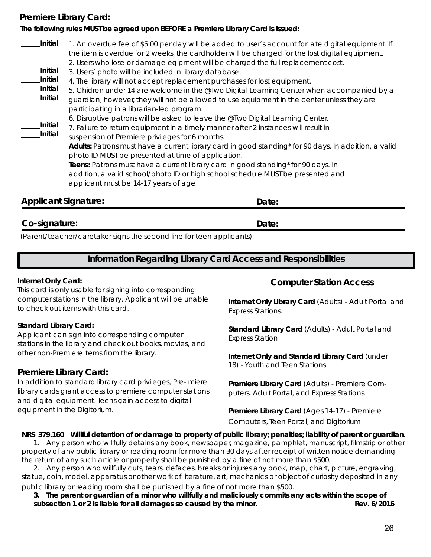#### **Premiere Library Card:**

#### **The following rules MUST be agreed upon BEFORE a Premiere Library Card is issued:**

| Initial | 1. An overdue fee of \$5.00 per day will be added to user's account for late digital equipment. If   |
|---------|------------------------------------------------------------------------------------------------------|
|         | the item is overdue for 2 weeks, the cardholder will be charged for the lost digital equipment.      |
|         | 2. Users who lose or damage eqipment will be charged the full replacement cost.                      |
| Initial | 3. Users' photo will be included in library database.                                                |
| Initial | 4. The library will not accept replacement purchases for lost equipment.                             |
| Initial | 5. Chidren under 14 are welcome in the @Two Digital Learning Center when accompanied by a            |
| Initial | guardian; however, they will not be allowed to use equipment in the center unless they are           |
|         | participating in a librarian-led program.                                                            |
|         | 6. Disruptive patrons will be asked to leave the @Two Digital Learning Center.                       |
| Initial | 7. Failure to return equipment in a timely manner after 2 instances will result in                   |
| Initial | suspension of Premiere privileges for 6 months.                                                      |
|         | Adults: Patrons must have a current library card in good standing* for 90 days. In addition, a valid |
|         | photo ID MUST be presented at time of application.                                                   |
|         | Teens: Patrons must have a current library card in good standing* for 90 days. In                    |
|         | addition, a valid school/photo ID or high school schedule MUST be presented and                      |
|         | applicant must be 14-17 years of age                                                                 |
|         |                                                                                                      |

#### **Applicant Signature:**

#### **Co-signature:**

(Parent/teacher/caretaker signs the second line for teen applicants)

#### **Information Regarding Library Card Access and Responsibilities**

**Date:**

**Date:**

#### **Internet Only Card:**

This card is only usable for signing into corresponding computer stations in the library. Applicant will be unable to check out items with this card.

#### **Standard Library Card:**

Applicant can sign into corresponding computer stations in the library and check out books, movies, and other non-Premiere items from the library.

#### **Premiere Library Card:**

In addition to standard library card privileges, Pre- miere library cards grant access to premiere computer stations and digital equipment. Teens gain access to digital equipment in the Digitorium.

#### **Computer Station Access**

**Internet Only Library Card** (Adults) - Adult Portal and Express Stations.

**Standard Library Card** (Adults) - Adult Portal and Express Station

**Internet Only and Standard Library Card** (under 18) - Youth and Teen Stations

**Premiere Library Card** (Adults) - Premiere Computers, Adult Portal, and Express Stations.

**Premiere Library Card** (Ages 14-17) - Premiere Computers, Teen Portal, and Digitorium

#### **NRS 379.160 Willful detention of or damage to property of public library; penalties; liability of parent or guardian.**

1. Any person who willfully detains any book, newspaper, magazine, pamphlet, manuscript, filmstrip or other property of any public library or reading room for more than 30 days after receipt of written notice demanding the return of any such article or property shall be punished by a fine of not more than \$500.

2. Any person who willfully cuts, tears, defaces, breaks or injures any book, map, chart, picture, engraving, statue, coin, model, apparatus or other work of literature, art, mechanics or object of curiosity deposited in any public library or reading room shall be punished by a fine of not more than \$500.

**3. The parent or guardian of a minor who willfully and maliciously commits any acts within the scope of subsection 1 or 2 is liable for all damages so caused by the minor. Rev. 6/2016**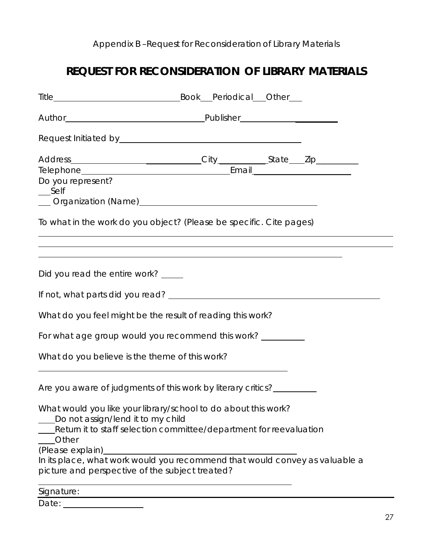## Appendix B –Request for Reconsideration of Library Materials

## **REQUEST FOR RECONSIDERATION OF LIBRARY MATERIALS**

| Do you represent?<br>Self                      |                                                                                                                                      |  |  |
|------------------------------------------------|--------------------------------------------------------------------------------------------------------------------------------------|--|--|
|                                                | To what in the work do you object? (Please be specific. Cite pages)                                                                  |  |  |
| Did you read the entire work? _____            | ,我们也不会有什么。""我们的人,我们也不会有什么?""我们的人,我们也不会有什么?""我们的人,我们也不会有什么?""我们的人,我们也不会有什么?""我们的人                                                     |  |  |
|                                                |                                                                                                                                      |  |  |
|                                                | What do you feel might be the result of reading this work?                                                                           |  |  |
|                                                | For what age group would you recommend this work? _________                                                                          |  |  |
| What do you believe is the theme of this work? |                                                                                                                                      |  |  |
|                                                | Are you aware of judgments of this work by literary critics?                                                                         |  |  |
| Do not assign/lend it to my child              | What would you like your library/school to do about this work?<br>Return it to staff selection committee/department for reevaluation |  |  |
| Other<br>(Please explain)                      | In its place, what work would you recommend that would convey as valuable a<br>picture and perspective of the subject treated?       |  |  |
| Signature:                                     |                                                                                                                                      |  |  |

Date: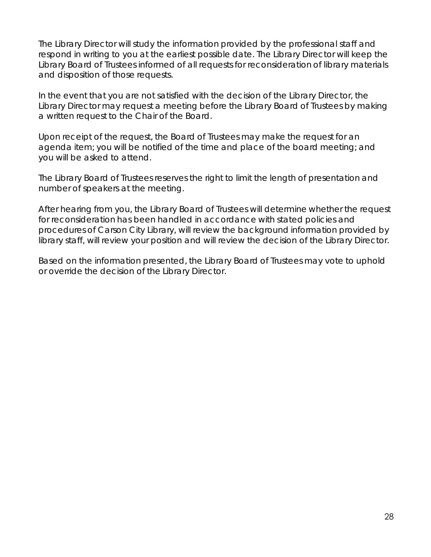The Library Director will study the information provided by the professional staff and respond in writing to you at the earliest possible date. The Library Director will keep the Library Board of Trustees informed of all requests for reconsideration of library materials and disposition of those requests.

In the event that you are not satisfied with the decision of the Library Director, the Library Director may request a meeting before the Library Board of Trustees by making a written request to the Chair of the Board.

Upon receipt of the request, the Board of Trustees may make the request for an agenda item; you will be notified of the time and place of the board meeting; and you will be asked to attend.

The Library Board of Trustees reserves the right to limit the length of presentation and number of speakers at the meeting.

After hearing from you, the Library Board of Trustees will determine whether the request for reconsideration has been handled in accordance with stated policies and procedures of Carson City Library, will review the background information provided by library staff, will review your position and will review the decision of the Library Director.

Based on the information presented, the Library Board of Trustees may vote to uphold or override the decision of the Library Director.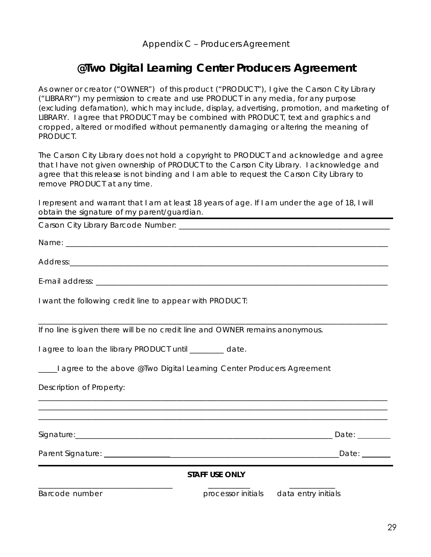## **@Two Digital Learning Center Producers Agreement**

As owner or creator ("OWNER") of this product ("PRODUCT"), I give the Carson City Library ("LIBRARY") my permission to create and use PRODUCT in any media, for any purpose (excluding defamation), which may include, display, advertising, promotion, and marketing of LIBRARY. I agree that PRODUCT may be combined with PRODUCT, text and graphics and cropped, altered or modified without permanently damaging or altering the meaning of PRODUCT.

The Carson City Library does not hold a copyright to PRODUCT and acknowledge and agree that I have not given ownership of PRODUCT to the Carson City Library. I acknowledge and agree that this release is not binding and I am able to request the Carson City Library to remove PRODUCT at any time.

I represent and warrant that I am at least 18 years of age. If I am under the age of 18, I will obtain the signature of my parent/guardian.

| I want the following credit line to appear with PRODUCT:                      |  |
|-------------------------------------------------------------------------------|--|
| If no line is given there will be no credit line and OWNER remains anonymous. |  |
| I agree to loan the library PRODUCT until ________ date.                      |  |
| agree to the above @Two Digital Learning Center Producers Agreement           |  |
| Description of Property:                                                      |  |
|                                                                               |  |
|                                                                               |  |
|                                                                               |  |
| <b>STAFF USE ONLY</b>                                                         |  |
| Barcode number<br>processor initials data entry initials                      |  |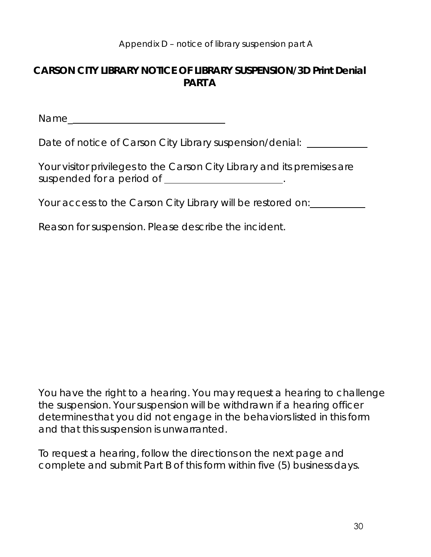#### **CARSON CITY LIBRARY NOTICE OF LIBRARY SUSPENSION/3D Print Denial PART A**

Name\_

Date of notice of Carson City Library suspension/denial: \_\_\_\_\_\_\_\_\_\_\_\_\_\_\_\_\_\_\_\_\_\_\_

| Your visitor privileges to the Carson City Library and its premises are |  |
|-------------------------------------------------------------------------|--|
| suspended for a period of                                               |  |

Your access to the Carson City Library will be restored on:

Reason for suspension. Please describe the incident.

You have the right to a hearing. You may request a hearing to challenge the suspension. Your suspension will be withdrawn if a hearing officer determines that you did not engage in the behaviors listed in this form and that this suspension is unwarranted.

To request a hearing, follow the directions on the next page and complete and submit Part B of this form within five (5) business days.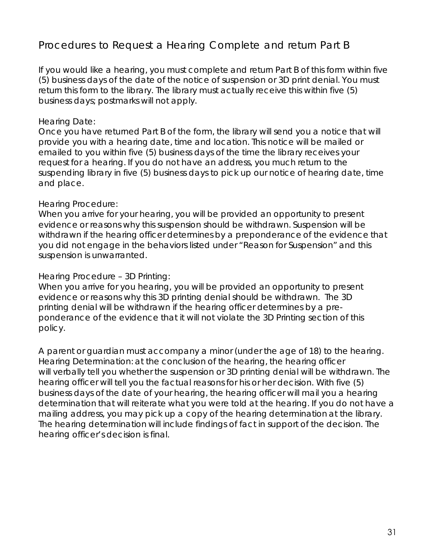## Procedures to Request a Hearing Complete and return Part B

If you would like a hearing, you must complete and return Part B of this form within five (5) business days of the date of the notice of suspension or 3D print denial. You must return this form to the library. The library must actually receive this within five (5) business days; postmarks will not apply.

#### Hearing Date:

Once you have returned Part B of the form, the library will send you a notice that will provide you with a hearing date, time and location. This notice will be mailed or emailed to you within five (5) business days of the time the library receives your request for a hearing. If you do not have an address, you much return to the suspending library in five (5) business days to pick up our notice of hearing date, time and place.

#### Hearing Procedure:

When you arrive for your hearing, you will be provided an opportunity to present evidence or reasons why this suspension should be withdrawn. Suspension will be withdrawn if the hearing officer determines by a preponderance of the evidence that you did not engage in the behaviors listed under "Reason for Suspension" and this suspension is unwarranted.

#### Hearing Procedure – 3D Printing:

When you arrive for you hearing, you will be provided an opportunity to present evidence or reasons why this 3D printing denial should be withdrawn. The 3D printing denial will be withdrawn if the hearing officer determines by a preponderance of the evidence that it will not violate the 3D Printing section of this policy.

A parent or guardian must accompany a minor (under the age of 18) to the hearing. Hearing Determination: at the conclusion of the hearing, the hearing officer will verbally tell you whether the suspension or 3D printing denial will be withdrawn. The hearing officer will tell you the factual reasons for his or her decision. With five (5) business days of the date of your hearing, the hearing officer will mail you a hearing determination that will reiterate what you were told at the hearing. If you do not have a mailing address, you may pick up a copy of the hearing determination at the library. The hearing determination will include findings of fact in support of the decision. The hearing officer's decision is final.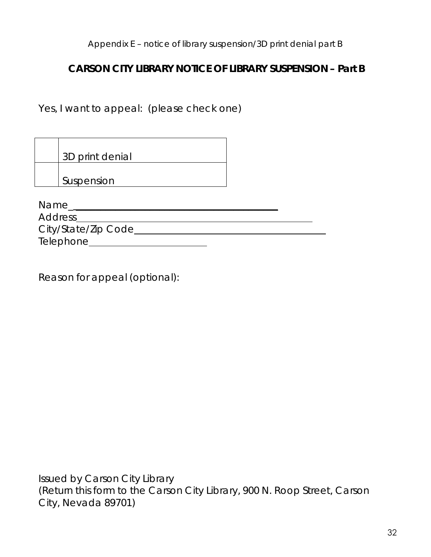Appendix E – notice of library suspension/3D print denial part B

## **CARSON CITY LIBRARY NOTICE OF LIBRARY SUSPENSION – Part B**

Yes, I want to appeal: (please check one)

|         | 3D print denial     |  |
|---------|---------------------|--|
|         |                     |  |
|         | Suspension          |  |
|         |                     |  |
| Name    |                     |  |
| Address |                     |  |
|         | City/State/Zip Code |  |

Telephone

Reason for appeal (optional):

Issued by Carson City Library (Return this form to the Carson City Library, 900 N. Roop Street, Carson City, Nevada 89701)